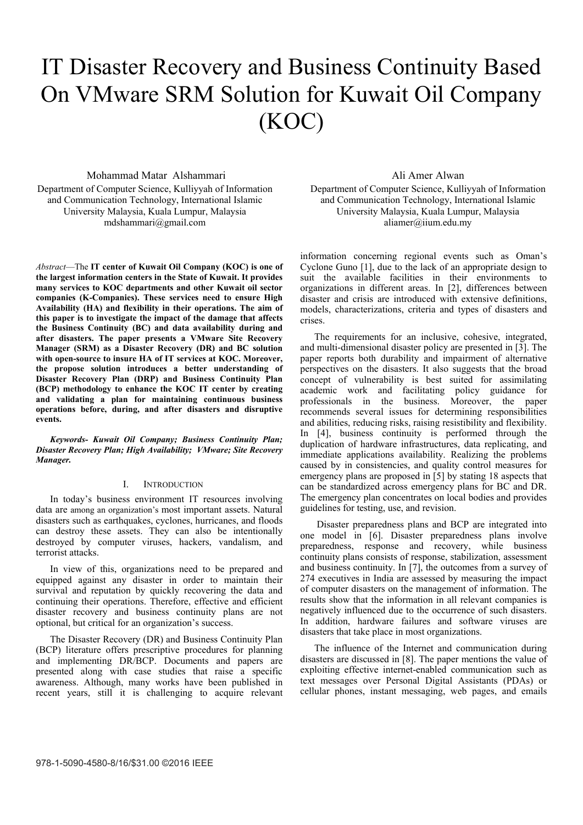# IT Disaster Recovery and Business Continuity Based On VMware SRM Solution for Kuwait Oil Company (KOC)

## Mohammad Matar Alshammari

Department of Computer Science, Kulliyyah of Information and Communication Technology, International Islamic University Malaysia, Kuala Lumpur, Malaysia mdshammari@gmail.com

*Abstract*—The **IT center of Kuwait Oil Company (KOC) is one of the largest information centers in the State of Kuwait. It provides many services to KOC departments and other Kuwait oil sector companies (K-Companies). These services need to ensure High Availability (HA) and flexibility in their operations. The aim of this paper is to investigate the impact of the damage that affects the Business Continuity (BC) and data availability during and after disasters. The paper presents a VMware Site Recovery Manager (SRM) as a Disaster Recovery (DR) and BC solution with open-source to insure HA of IT services at KOC. Moreover, the propose solution introduces a better understanding of Disaster Recovery Plan (DRP) and Business Continuity Plan (BCP) methodology to enhance the KOC IT center by creating and validating a plan for maintaining continuous business operations before, during, and after disasters and disruptive events.** 

*Keywords- Kuwait Oil Company; Business Continuity Plan; Disaster Recovery Plan; High Availability; VMware; Site Recovery Manager.* 

### I. INTRODUCTION

In today's business environment IT resources involving data are among an organization's most important assets. Natural disasters such as earthquakes, cyclones, hurricanes, and floods can destroy these assets. They can also be intentionally destroyed by computer viruses, hackers, vandalism, and terrorist attacks.

In view of this, organizations need to be prepared and equipped against any disaster in order to maintain their survival and reputation by quickly recovering the data and continuing their operations. Therefore, effective and efficient disaster recovery and business continuity plans are not optional, but critical for an organization's success.

The Disaster Recovery (DR) and Business Continuity Plan (BCP) literature offers prescriptive procedures for planning and implementing DR/BCP. Documents and papers are presented along with case studies that raise a specific awareness. Although, many works have been published in recent years, still it is challenging to acquire relevant Ali Amer Alwan

Department of Computer Science, Kulliyyah of Information and Communication Technology, International Islamic University Malaysia, Kuala Lumpur, Malaysia aliamer@iium.edu.my

information concerning regional events such as Oman's Cyclone Guno [1], due to the lack of an appropriate design to suit the available facilities in their environments to organizations in different areas. In [2], differences between disaster and crisis are introduced with extensive definitions, models, characterizations, criteria and types of disasters and crises.

The requirements for an inclusive, cohesive, integrated, and multi-dimensional disaster policy are presented in [3]. The paper reports both durability and impairment of alternative perspectives on the disasters. It also suggests that the broad concept of vulnerability is best suited for assimilating academic work and facilitating policy guidance for professionals in the business. Moreover, the paper recommends several issues for determining responsibilities and abilities, reducing risks, raising resistibility and flexibility. In [4], business continuity is performed through the duplication of hardware infrastructures, data replicating, and immediate applications availability. Realizing the problems caused by in consistencies, and quality control measures for emergency plans are proposed in [5] by stating 18 aspects that can be standardized across emergency plans for BC and DR. The emergency plan concentrates on local bodies and provides guidelines for testing, use, and revision.

 Disaster preparedness plans and BCP are integrated into one model in [6]. Disaster preparedness plans involve preparedness, response and recovery, while business continuity plans consists of response, stabilization, assessment and business continuity. In [7], the outcomes from a survey of 274 executives in India are assessed by measuring the impact of computer disasters on the management of information. The results show that the information in all relevant companies is negatively influenced due to the occurrence of such disasters. In addition, hardware failures and software viruses are disasters that take place in most organizations.

The influence of the Internet and communication during disasters are discussed in [8]. The paper mentions the value of exploiting effective internet-enabled communication such as text messages over Personal Digital Assistants (PDAs) or cellular phones, instant messaging, web pages, and emails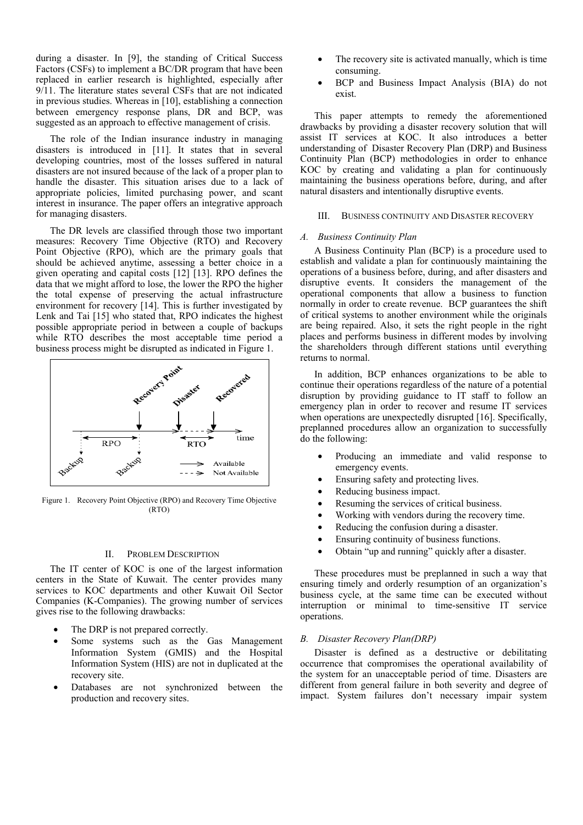during a disaster. In [9], the standing of Critical Success Factors (CSFs) to implement a BC/DR program that have been replaced in earlier research is highlighted, especially after 9/11. The literature states several CSFs that are not indicated in previous studies. Whereas in [10], establishing a connection between emergency response plans, DR and BCP, was suggested as an approach to effective management of crisis.

The role of the Indian insurance industry in managing disasters is introduced in [11]. It states that in several developing countries, most of the losses suffered in natural disasters are not insured because of the lack of a proper plan to handle the disaster. This situation arises due to a lack of appropriate policies, limited purchasing power, and scant interest in insurance. The paper offers an integrative approach for managing disasters.

The DR levels are classified through those two important measures: Recovery Time Objective (RTO) and Recovery Point Objective (RPO), which are the primary goals that should be achieved anytime, assessing a better choice in a given operating and capital costs [12] [13]. RPO defines the data that we might afford to lose, the lower the RPO the higher the total expense of preserving the actual infrastructure environment for recovery [14]. This is further investigated by Lenk and Tai [15] who stated that, RPO indicates the highest possible appropriate period in between a couple of backups while RTO describes the most acceptable time period a business process might be disrupted as indicated in Figure 1.



Figure 1. Recovery Point Objective (RPO) and Recovery Time Objective (RTO)

## II. PROBLEM DESCRIPTION

The IT center of KOC is one of the largest information centers in the State of Kuwait. The center provides many services to KOC departments and other Kuwait Oil Sector Companies (K-Companies). The growing number of services gives rise to the following drawbacks:

- The DRP is not prepared correctly.
- Some systems such as the Gas Management Information System (GMIS) and the Hospital Information System (HIS) are not in duplicated at the recovery site.
- Databases are not synchronized between the production and recovery sites.
- The recovery site is activated manually, which is time consuming.
- BCP and Business Impact Analysis (BIA) do not exist.

This paper attempts to remedy the aforementioned drawbacks by providing a disaster recovery solution that will assist IT services at KOC. It also introduces a better understanding of Disaster Recovery Plan (DRP) and Business Continuity Plan (BCP) methodologies in order to enhance KOC by creating and validating a plan for continuously maintaining the business operations before, during, and after natural disasters and intentionally disruptive events.

## III. BUSINESS CONTINUITY AND DISASTER RECOVERY

#### *A. Business Continuity Plan*

A Business Continuity Plan (BCP) is a procedure used to establish and validate a plan for continuously maintaining the operations of a business before, during, and after disasters and disruptive events. It considers the management of the operational components that allow a business to function normally in order to create revenue. BCP guarantees the shift of critical systems to another environment while the originals are being repaired. Also, it sets the right people in the right places and performs business in different modes by involving the shareholders through different stations until everything returns to normal.

In addition, BCP enhances organizations to be able to continue their operations regardless of the nature of a potential disruption by providing guidance to IT staff to follow an emergency plan in order to recover and resume IT services when operations are unexpectedly disrupted [16]. Specifically, preplanned procedures allow an organization to successfully do the following:

- Producing an immediate and valid response to emergency events.
- Ensuring safety and protecting lives.
- Reducing business impact.
- Resuming the services of critical business.
- Working with vendors during the recovery time.
- Reducing the confusion during a disaster.
- Ensuring continuity of business functions.
- Obtain "up and running" quickly after a disaster.

These procedures must be preplanned in such a way that ensuring timely and orderly resumption of an organization's business cycle, at the same time can be executed without interruption or minimal to time-sensitive IT service operations.

## *B. Disaster Recovery Plan(DRP)*

Disaster is defined as a destructive or debilitating occurrence that compromises the operational availability of the system for an unacceptable period of time. Disasters are different from general failure in both severity and degree of impact. System failures don't necessary impair system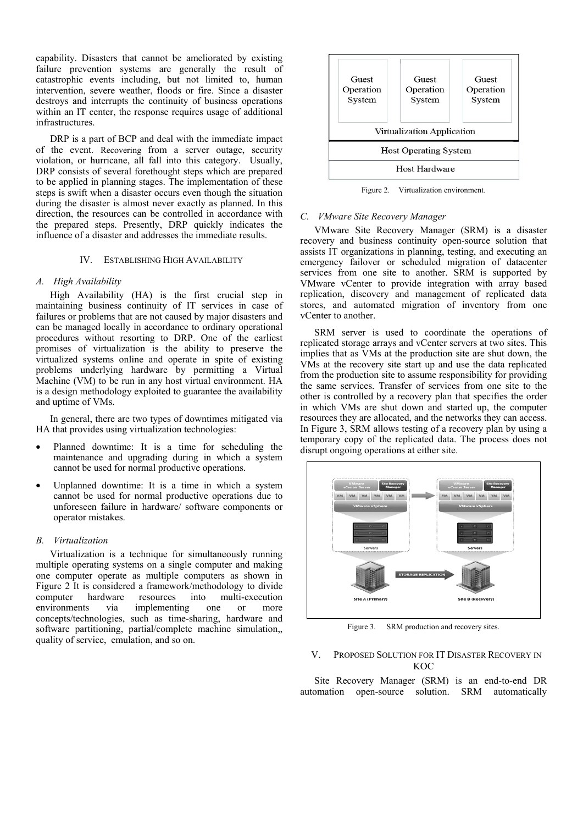capability. Disasters that cannot be ameliorated by existing failure prevention systems are generally the result of catastrophic events including, but not limited to, human intervention, severe weather, floods or fire. Since a disaster destroys and interrupts the continuity of business operations within an IT center, the response requires usage of additional infrastructures.

DRP is a part of BCP and deal with the immediate impact of the event. Recovering from a server outage, security violation, or hurricane, all fall into this category. Usually, DRP consists of several forethought steps which are prepared to be applied in planning stages. The implementation of these steps is swift when a disaster occurs even though the situation during the disaster is almost never exactly as planned. In this direction, the resources can be controlled in accordance with the prepared steps. Presently, DRP quickly indicates the influence of a disaster and addresses the immediate results.

# IV. ESTABLISHING HIGH AVAILABILITY

# *A. High Availability*

High Availability (HA) is the first crucial step in maintaining business continuity of IT services in case of failures or problems that are not caused by major disasters and can be managed locally in accordance to ordinary operational procedures without resorting to DRP. One of the earliest promises of virtualization is the ability to preserve the virtualized systems online and operate in spite of existing problems underlying hardware by permitting a Virtual Machine (VM) to be run in any host virtual environment. HA is a design methodology exploited to guarantee the availability and uptime of VMs.

In general, there are two types of downtimes mitigated via HA that provides using virtualization technologies:

- Planned downtime: It is a time for scheduling the maintenance and upgrading during in which a system cannot be used for normal productive operations.
- Unplanned downtime: It is a time in which a system cannot be used for normal productive operations due to unforeseen failure in hardware/ software components or operator mistakes.

## *B. Virtualization*

Virtualization is a technique for simultaneously running multiple operating systems on a single computer and making one computer operate as multiple computers as shown in Figure 2 It is considered a framework/methodology to divide<br>computer hardware resources into multi-execution computer hardware resources into multi-execution environments via implementing one or more concepts/technologies, such as time-sharing, hardware and software partitioning, partial/complete machine simulation,, quality of service, emulation, and so on.



Figure 2. Virtualization environment.

#### *C. VMware Site Recovery Manager*

VMware Site Recovery Manager (SRM) is a disaster recovery and business continuity open-source solution that assists IT organizations in planning, testing, and executing an emergency failover or scheduled migration of datacenter services from one site to another. SRM is supported by VMware vCenter to provide integration with array based replication, discovery and management of replicated data stores, and automated migration of inventory from one vCenter to another.

SRM server is used to coordinate the operations of replicated storage arrays and vCenter servers at two sites. This implies that as VMs at the production site are shut down, the VMs at the recovery site start up and use the data replicated from the production site to assume responsibility for providing the same services. Transfer of services from one site to the other is controlled by a recovery plan that specifies the order in which VMs are shut down and started up, the computer resources they are allocated, and the networks they can access. In Figure 3, SRM allows testing of a recovery plan by using a temporary copy of the replicated data. The process does not disrupt ongoing operations at either site.



Figure 3. SRM production and recovery sites.

# V. PROPOSED SOLUTION FOR IT DISASTER RECOVERY IN **KOC**

Site Recovery Manager (SRM) is an end-to-end DR automation open-source solution. SRM automatically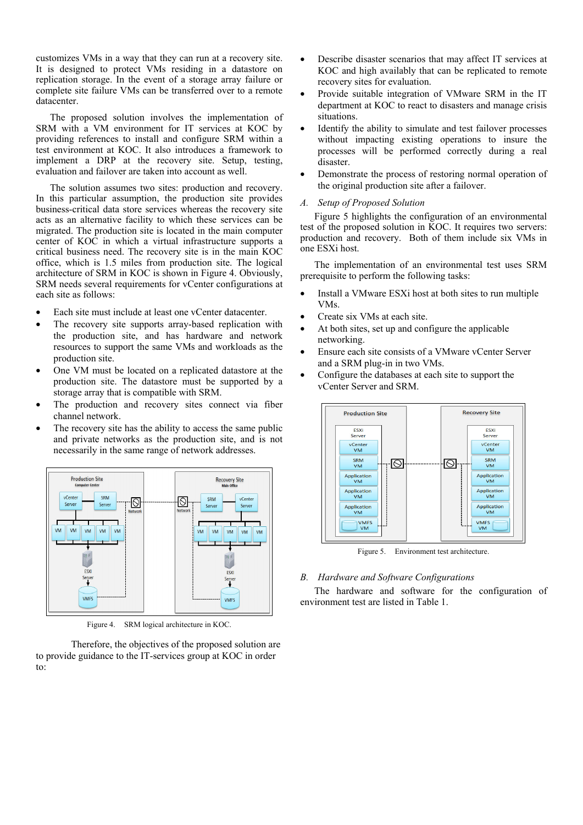customizes VMs in a way that they can run at a recovery site. It is designed to protect VMs residing in a datastore on replication storage. In the event of a storage array failure or complete site failure VMs can be transferred over to a remote datacenter.

The proposed solution involves the implementation of SRM with a VM environment for IT services at KOC by providing references to install and configure SRM within a test environment at KOC. It also introduces a framework to implement a DRP at the recovery site. Setup, testing, evaluation and failover are taken into account as well.

The solution assumes two sites: production and recovery. In this particular assumption, the production site provides business-critical data store services whereas the recovery site acts as an alternative facility to which these services can be migrated. The production site is located in the main computer center of KOC in which a virtual infrastructure supports a critical business need. The recovery site is in the main KOC office, which is 1.5 miles from production site. The logical architecture of SRM in KOC is shown in Figure 4. Obviously, SRM needs several requirements for vCenter configurations at each site as follows:

- Each site must include at least one vCenter datacenter.
- The recovery site supports array-based replication with the production site, and has hardware and network resources to support the same VMs and workloads as the production site.
- One VM must be located on a replicated datastore at the production site. The datastore must be supported by a storage array that is compatible with SRM.
- The production and recovery sites connect via fiber channel network.
- The recovery site has the ability to access the same public and private networks as the production site, and is not necessarily in the same range of network addresses.



Figure 4. SRM logical architecture in KOC.

 Therefore, the objectives of the proposed solution are to provide guidance to the IT-services group at KOC in order to:

- Describe disaster scenarios that may affect IT services at KOC and high availably that can be replicated to remote recovery sites for evaluation.
- Provide suitable integration of VMware SRM in the IT department at KOC to react to disasters and manage crisis situations.
- Identify the ability to simulate and test failover processes without impacting existing operations to insure the processes will be performed correctly during a real disaster.
- Demonstrate the process of restoring normal operation of the original production site after a failover.

# *A. Setup of Proposed Solution*

Figure 5 highlights the configuration of an environmental test of the proposed solution in KOC. It requires two servers: production and recovery. Both of them include six VMs in one ESXi host.

The implementation of an environmental test uses SRM prerequisite to perform the following tasks:

- Install a VMware ESXi host at both sites to run multiple VMs.
- Create six VMs at each site.
- At both sites, set up and configure the applicable networking.
- Ensure each site consists of a VMware vCenter Server and a SRM plug-in in two VMs.
- Configure the databases at each site to support the vCenter Server and SRM.



Figure 5. Environment test architecture.

# *B. Hardware and Software Configurations*

The hardware and software for the configuration of environment test are listed in Table 1.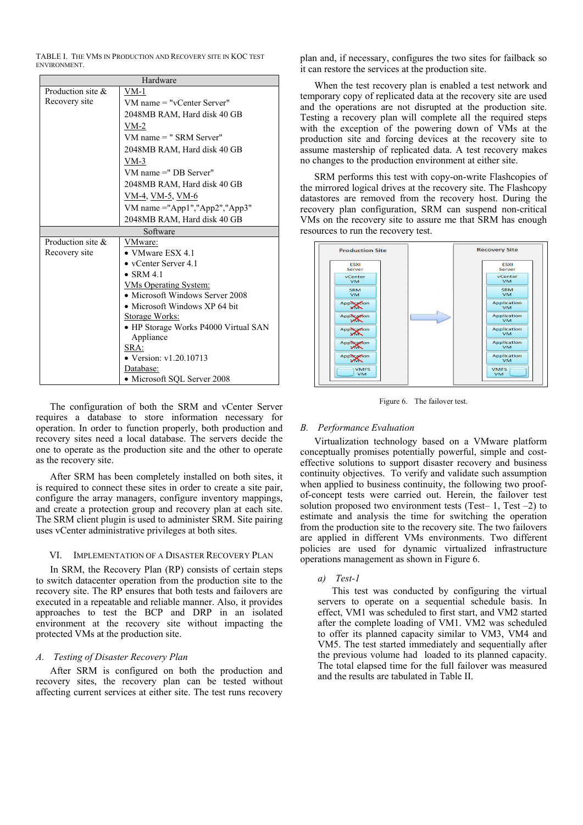TABLE I. THE VMS IN PRODUCTION AND RECOVERY SITE IN KOC TEST **ENVIRONMENT** 

| Hardware             |                                      |  |  |
|----------------------|--------------------------------------|--|--|
| Production site $\&$ | $VM-1$                               |  |  |
| Recovery site        | $VM$ name $=$ "vCenter Server"       |  |  |
|                      | 2048MB RAM, Hard disk 40 GB          |  |  |
|                      | $VM-2$                               |  |  |
|                      | VM name = " SRM Server"              |  |  |
|                      | 2048MB RAM, Hard disk 40 GB          |  |  |
|                      | $VM-3$                               |  |  |
|                      | VM name =" DB Server"                |  |  |
|                      | 2048MB RAM, Hard disk 40 GB          |  |  |
|                      | VM-4, VM-5, VM-6                     |  |  |
|                      | VM name ="App1","App2","App3"        |  |  |
|                      | 2048MB RAM, Hard disk 40 GB          |  |  |
| Software             |                                      |  |  |
| Production site $\&$ | VMware:                              |  |  |
| Recovery site        | • VMware ESX 4.1                     |  |  |
|                      | • $vCenter$ Server 4.1               |  |  |
|                      | $\bullet$ SRM 4.1                    |  |  |
|                      | <u>VMs Operating System:</u>         |  |  |
|                      | • Microsoft Windows Server 2008      |  |  |
|                      | • Microsoft Windows XP 64 bit        |  |  |
|                      | Storage Works:                       |  |  |
|                      | • HP Storage Works P4000 Virtual SAN |  |  |
|                      | Appliance                            |  |  |
|                      | SRA:                                 |  |  |
|                      | • Version: $v1.20.10713$             |  |  |
|                      | Database:                            |  |  |
|                      | • Microsoft SQL Server 2008          |  |  |

The configuration of both the SRM and vCenter Server requires a database to store information necessary for operation. In order to function properly, both production and recovery sites need a local database. The servers decide the one to operate as the production site and the other to operate as the recovery site.

After SRM has been completely installed on both sites, it is required to connect these sites in order to create a site pair, configure the array managers, configure inventory mappings, and create a protection group and recovery plan at each site. The SRM client plugin is used to administer SRM. Site pairing uses vCenter administrative privileges at both sites.

# VI. IMPLEMENTATION OF A DISASTER RECOVERY PLAN

In SRM, the Recovery Plan (RP) consists of certain steps to switch datacenter operation from the production site to the recovery site. The RP ensures that both tests and failovers are executed in a repeatable and reliable manner. Also, it provides approaches to test the BCP and DRP in an isolated environment at the recovery site without impacting the protected VMs at the production site.

# *A. Testing of Disaster Recovery Plan*

After SRM is configured on both the production and recovery sites, the recovery plan can be tested without affecting current services at either site. The test runs recovery

plan and, if necessary, configures the two sites for failback so it can restore the services at the production site.

When the test recovery plan is enabled a test network and temporary copy of replicated data at the recovery site are used and the operations are not disrupted at the production site. Testing a recovery plan will complete all the required steps with the exception of the powering down of VMs at the production site and forcing devices at the recovery site to assume mastership of replicated data. A test recovery makes no changes to the production environment at either site.

SRM performs this test with copy-on-write Flashcopies of the mirrored logical drives at the recovery site. The Flashcopy datastores are removed from the recovery host. During the recovery plan configuration, SRM can suspend non-critical VMs on the recovery site to assure me that SRM has enough resources to run the recovery test.



Figure 6. The failover test.

# *B. Performance Evaluation*

Virtualization technology based on a VMware platform conceptually promises potentially powerful, simple and costeffective solutions to support disaster recovery and business continuity objectives. To verify and validate such assumption when applied to business continuity, the following two proofof-concept tests were carried out. Herein, the failover test solution proposed two environment tests (Test- 1, Test  $-2$ ) to estimate and analysis the time for switching the operation from the production site to the recovery site. The two failovers are applied in different VMs environments. Two different policies are used for dynamic virtualized infrastructure operations management as shown in Figure 6.

*a) Test-1* 

This test was conducted by configuring the virtual servers to operate on a sequential schedule basis. In effect, VM1 was scheduled to first start, and VM2 started after the complete loading of VM1. VM2 was scheduled to offer its planned capacity similar to VM3, VM4 and VM5. The test started immediately and sequentially after the previous volume had loaded to its planned capacity. The total elapsed time for the full failover was measured and the results are tabulated in Table II.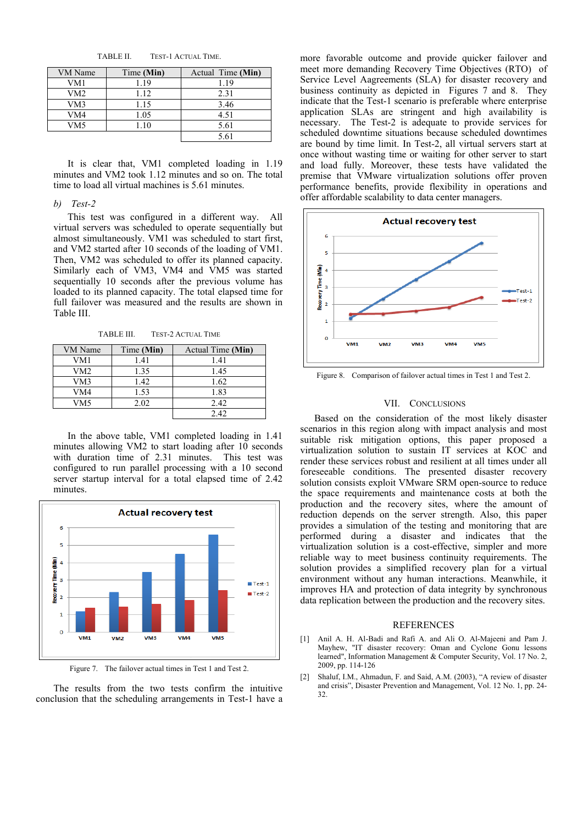TABLE II. TEST-1 ACTUAL TIME.

| VM Name | Time (Min) | Actual Time (Min) |
|---------|------------|-------------------|
| VM1     | 1.19       | 1.19              |
| VM2     | 1.12       | 2.31              |
| VM3     | 1.15       | 3.46              |
| VM4     | 1.05       | 4.51              |
| VM5     |            | 5.61              |
|         |            | 5.61              |

It is clear that, VM1 completed loading in 1.19 minutes and VM2 took 1.12 minutes and so on. The total time to load all virtual machines is 5.61 minutes.

## *b) Test-2*

This test was configured in a different way. All virtual servers was scheduled to operate sequentially but almost simultaneously. VM1 was scheduled to start first, and VM2 started after 10 seconds of the loading of VM1. Then, VM2 was scheduled to offer its planned capacity. Similarly each of VM3, VM4 and VM5 was started sequentially 10 seconds after the previous volume has loaded to its planned capacity. The total elapsed time for full failover was measured and the results are shown in Table III.

TABLE III. TEST-2 ACTUAL TIME

| VM Name | Time (Min) | Actual Time (Min) |
|---------|------------|-------------------|
| VM1     | 1.41       | 1.41              |
| VM2     | 1.35       | 1.45              |
| VM3     | 1.42       | 1.62              |
| VM4     | 1.53       | 1.83              |
| VM5     | 2.02       | 2.42              |
|         |            | 2.42              |

In the above table, VM1 completed loading in 1.41 minutes allowing VM2 to start loading after 10 seconds with duration time of 2.31 minutes. This test was configured to run parallel processing with a 10 second server startup interval for a total elapsed time of 2.42 minutes.



Figure 7. The failover actual times in Test 1 and Test 2.

The results from the two tests confirm the intuitive conclusion that the scheduling arrangements in Test-1 have a more favorable outcome and provide quicker failover and meet more demanding Recovery Time Objectives (RTO) of Service Level Aagreements (SLA) for disaster recovery and business continuity as depicted in Figures 7 and 8. They indicate that the Test-1 scenario is preferable where enterprise application SLAs are stringent and high availability is necessary. The Test-2 is adequate to provide services for scheduled downtime situations because scheduled downtimes are bound by time limit. In Test-2, all virtual servers start at once without wasting time or waiting for other server to start and load fully. Moreover, these tests have validated the premise that VMware virtualization solutions offer proven performance benefits, provide flexibility in operations and offer affordable scalability to data center managers.



Figure 8. Comparison of failover actual times in Test 1 and Test 2.

## VII. CONCLUSIONS

Based on the consideration of the most likely disaster scenarios in this region along with impact analysis and most suitable risk mitigation options, this paper proposed a virtualization solution to sustain IT services at KOC and render these services robust and resilient at all times under all foreseeable conditions. The presented disaster recovery solution consists exploit VMware SRM open-source to reduce the space requirements and maintenance costs at both the production and the recovery sites, where the amount of reduction depends on the server strength. Also, this paper provides a simulation of the testing and monitoring that are performed during a disaster and indicates that the virtualization solution is a cost-effective, simpler and more reliable way to meet business continuity requirements. The solution provides a simplified recovery plan for a virtual environment without any human interactions. Meanwhile, it improves HA and protection of data integrity by synchronous data replication between the production and the recovery sites.

#### **REFERENCES**

- [1] Anil A. H. Al-Badi and Rafi A. and Ali O. Al-Majeeni and Pam J. Mayhew, "IT disaster recovery: Oman and Cyclone Gonu lessons learned", Information Management & Computer Security, Vol. 17 No. 2, 2009, pp. 114-126
- [2] Shaluf, I.M., Ahmadun, F. and Said, A.M. (2003), "A review of disaster and crisis", Disaster Prevention and Management, Vol. 12 No. 1, pp. 24- 32.